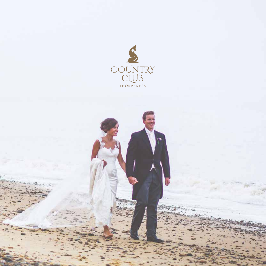

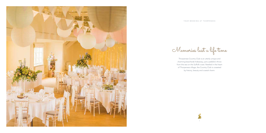



Thorpeness Country Club is an utterly unique and charming beachside hideaway, just a pebble's throw from the sea on the Suffolk coast. Nestled in the heart of Thorpeness village, the Country Club is cosseted by history, beauty and coastal charm.

Memories last a life time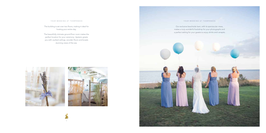

# YOUR WEDDING AT THORPENESS

Our exclusive beachside lawn, with its spectacular views, makes a truly wonderful backdrop for your photographs and a perfect setting for your guests to enjoy drinks and canapés.



The building is set over two floors, making it ideal for hosting your entire day.

The beautifully intimate ground floor room makes the perfect location for your ceremony. Upstairs greets you with vaulted ceilings, wooden floors and boasts stunning views of the sea.



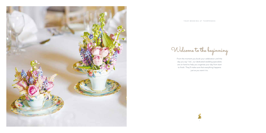





From the moment you book your celebration until the day you say 'I do', our dedicated wedding specialists are on hand to help you organise your day from start to finish. They'll make sure that everything happens just as you want it to.

Welcome to the beginning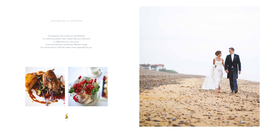



Our bespoke menus allow you the flexibility to create your perfect meal, simply make your selections to determine your menu price. If you are looking for something 'different' simply let us know and our chef will create a menu especially for you.

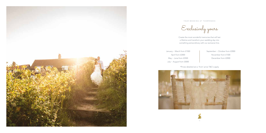



Create the most wonderful memories that will last a lifetime and transform your wedding day into something extraordinary with our exclusive hire.

January ~ March from £1500 April from £2000 May ~ June from £2500 July ~ August from £3000



September ~ October from £2000 November from £1500 December from £2000

Exclusively yours

\*Prices detailed are a 'from' price T&C's apply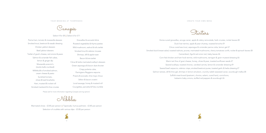

Starters

Home-cured gravadlax, avruga caviar, apple & celery remoulade, herb croutes, rocket leaves £8 Duck liver terrine, apple & pear chutney, toasted brioche £9 Citrus cured sea trout, asparagus & coriander panna cotta, lemon gel £7 Smoked duck breast salad, toasted walnuts, prunes, marinated mushrooms, cherry tomatoes confit, rocket & spinach leaves £8 Camembert, figs & red onion tart, baby leaves £6 Corn-fed chicken and ham hock terrine, wild mushrooms, tarragon & grain mustard dressing £6 Warm tart fine of goat cheese, honey, olives & pear, toasted sunflower seeds £7 Seared scallops, toasted chorizo, candied carrots, lemon & coriander dressing £9 Seared beef carpaccio, celeriac crisps, smoked beetroot puree, toasted garlic & herbs dressing £7 Salmon tartare, dill & lime gel, shrimps in lemon emulsion, crunchy radish seaweed caviar, sourdough melba £8 Suffolk meat board (pastrami, chorizo, salami, cured ham), cornichons, balsamic baby onions, stuffed red peppers & sourdough £6



Marinated olives - £2.85 per person | Tapenade, humus palmiers - £2.85 per person Selection of crudités with various dips - £3.00 per person

Parma ham, tomato & mozzarella skewers Smoked trout, beetroot & wasabi dressing Chicken yakitori skewers Beef yakitori skewers Tartlet of goat's cheese, red onions & pears Salmon & coriander fish cakes, lemon & ginger dip Mozzarella arancini's (risotto balls crumbed) Millefeuille of smoked salmon, cream cheese & pesto Sundried tomato, olives & basil brushetta Ham, mustard & rocket roll Smoked mackerel & chive croutes

Gravadlax & avocado blinis Roasted vegetables & thyme pasties Wild mushroom, walnut & tofu tartlet Smoked trout & celeriac mousse Shrimps, dill & apple toast Bacon & brie tartlet Citrus & herbs marinated scallop's skewers Green asparagus & bacon dust shooter Crispy polenta cube, Parmigiano Reggiano espuma Prawns & avocado, lime mayo choux Stilton & bacon crostini Local sausage, honey & mustard roll Courgettes, pancetta & Feta crumble

Please ask for more information regarding Canapes serving options'

 $\wedge$  Nibbles

Canapés

Select 4 for £8 | Select 6 for £11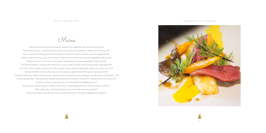



Mains

Braised chuck of beef, Berny potatoes, glazed root vegetables, red wine & thyme jus £24 Roasted duck breast, crushed parsnip & parsley cress, seasonal vegetables, raspberries & honey jus £23 Slow roasted pork belly glazed with honey & grain mustard, fondant potatoes, seasonal vegetables £21 Slowly roasted lamb leg, garlic and rosemary infused, lemon risotto tube, seasonal vegetables, light jus £24 Roasted veal loin, carrot and cumin puree, crispy polenta, seasonal vegetables, Arabica jus £26 8 oz Beef wellington, sautéed wild mushrooms, creamy potato & garlic mash, buttered baby vegetables £29 Corn-fed chicken breast, crispy bacon, herb and garlic mash, seasonal vegetables, goose liver cream sauce £19 Braised shoulder of beef, adnan ale jus, rosti potatoes, glazed beets & fine green beans bunch £23 Grilled Scottish salmon fillet, celeriac puree, roasted cherry tomatoes and savoy cabbage, lime flavoured "beurre blanc" £19 Grilled sea bass fillet, crispy pancetta, sautéed new potatoes and chestnut mushrooms, roasted carrot, red wine jus £19 Sautéed cod loin, potato gnocchi, mini ratatouille & bouillabaisse jus £19 Broad beans, peas & leek pie, cheddar cream sauce, roasted baby potatoes, cherry tomatoes confit £17 Wild mushrooms, chestnuts & potato tort, served with seasonal greens £17 Roasted artichokes, peas & mint risotto, topped with rocket, Parmigiano Reggiano shavings £17

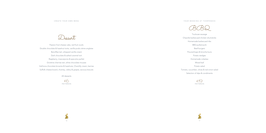







Passion fruit cheese cake, red fruit coulis Double chocolate & hazelnut torte, vanilla pods crème anglaise Banoffee tart, whipped vanilla cream Dark chocolate & salted caramel tort Raspberry, mascarpone & speculos parfait Griottine cherries tart, white chocolate mousse Valrhona chocolate brownie & hazelnuts, Chantilly cream, berries Suffolk cheese board, chutney, celery & grapes, savoury biscuits

All desserts

£6 PER PERSON





- Toulouse sausage
- Chipotle barbecued chicken drumsticks
	-
	-
	-
	-
	-
	-
	-
	-
	-
	- Selection of dips & condiments



Homemade barbecued ribs BBQ pulled pork Beef burgers Floured baps & brioche buns Potato wedges Homemade coleslaw Mixed leaf Potato salad Tomato, cucumber, olives & red onion salad

 $E$ <sup>19</sup>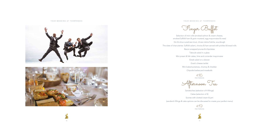









YOUR WEDDING AT THORPENESS

Finger Buffet

Selection of mini rolls (smoked salmon & cream cheese, smoked Suffolk ham & grain mustard, egg mayonnaise & cress) Gin & citrus cured sea trout, chives crème fraîche, sourdough The slate of charcuteries: Suffolk salami, chorizo & ham served with pickles & bread rolls

Taboule salad in a glass

- 
- 
- 
- 
- Bacon wrapped prunes & chipolatas
	-
- Mini prawn & fish cakes, lime and coriander mayonnaise
	-
	- Goat's cheese tartlet
	- Mini baked potatoes, chutney & cheddar
		- Chipotle barbecued meatballs





Greek salad on a skewer

£16 PER PERSON

Afternoon Tea

Sandwiches (selection of 4 fillings) Cakes (selection of 4) Scones with clotted cream & jam (sandwich fillings & cake options can be discussed to create your perfect menu)

£19 PER PERSON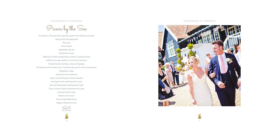

YOUR WEDDING AT THORPENESS

A selection of bread rolls, baguette, gluten free rolls & sourdough Hummus & olive tapenade Pork pies Duck rillette Vegetables dip jars Sliced Parma ham Selection of fresh sandwiches on white or granary bread Suffolk charcuterie (salami, chorizo & cured ham) Cheese board, chutneys, celery and grapes Fish platter with smoked trout, mackerel pate, gin & citrus cured salmon Vegetarian wraps Scallop & chorizo skewers Soya, honey & sesame chicken skewers Heritage tomato salad (served in jars) Quinoa Greek style salad (served in jars) Cajun chicken Caesar salad (served in jars) Summer's Eton mess Rainbow fruit salad Fresh vanilla filled choux Wagon Wheels brownie £24 PER PERSON C.



Picnic by the Sea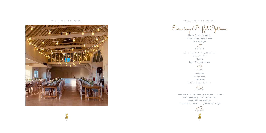## YOUR WEDDING AT THORPENESS YOUR WEDDING AT THORPENESS





Evening Buffet Options

Cheese & bacon baguettes Cheese & sausage baguettes Potato wedges

 $&7$ <br>PER PERSON

Cheese boards (cheddar, stilton, brie)



Grapes & celery Chutney Bread & savoury biscuits

£9 PER PERSON

Pulled pork Floured baps Apple sauce Coleslaw & green leaf salad

£10 PER PERSON

Cheeseboards, chutneys, celery, grapes, savoury biscuits Charcuterie (salami, chorizo & cured ham) Hummus & olive tapenade A selection of bread rolls, baguette & sourdough

£12 PER PERSON





22 денови производите производите на 23 деновите производите на 23 деновите при открит на 23 деновите при открит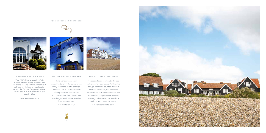

24

## THORPENESS GOLF CLUB & HOTEL

The 1920's Thorpeness Golf Club & Hotel offers a variety of rooms and an award-winning 18 hole James Braid golf course. It has a unique location next to the famous Thorpeness Meare, and is only a 10 minute's walk to the Country Club.

www.thorpeness.co.uk



### WHITE LION HOTEL, ALDEBURGH

Find wonderful sea view accommodation in the centre of the lovely seaside town of Aldeburgh. The White Lion is a traditional hotel offering cosy and comfortable accommodation, directly opposite the shingle beach, where wooden huts line the shore.

www.whitelion.co.uk

# BRUDENELL HOTEL, ALDEBURGH

In a breath-taking location by the sea, with stunning views across Aldeburgh's shingle beach and countryside views over the River Alde, the Brudenell Hotel offers 4 star accommodation and an award-winning dining experience, boasting a vibrant menu of fresh local seafood and free-range meats.

www.brudenellhotel.co.uk

### YOUR WEDDING AT THORPENESS